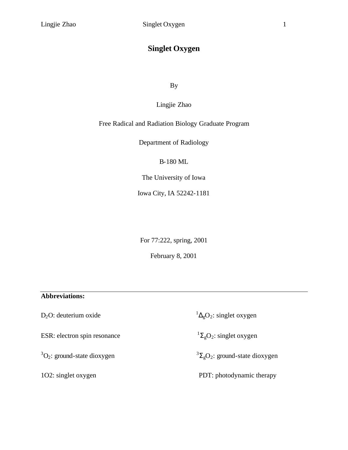# **Singlet Oxygen**

By

# Lingjie Zhao

# Free Radical and Radiation Biology Graduate Program

Department of Radiology

B-180 ML

The University of Iowa

Iowa City, IA 52242-1181

For 77:222, spring, 2001

February 8, 2001

# **Abbreviations:**

D<sub>2</sub>O: deuterium oxide

ESR: electron spin resonance

 ${}^{3}O_{2}$ : ground-state dioxygen  $3$ 

 ${}^{1}\Delta_{g}O_{2}$ : singlet oxygen

 ${}^{1}\Sigma_{g}O_{2}$ : singlet oxygen

 ${}^{3}\Sigma_{g}O_{2}$ : ground-state dioxygen

1O2: singlet oxygen PDT: photodynamic therapy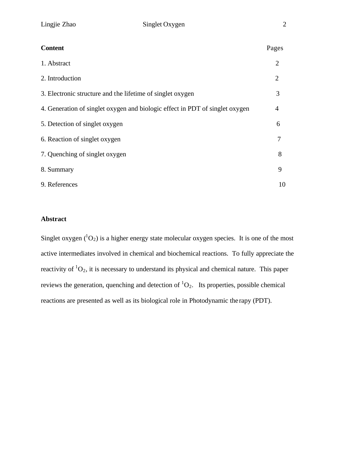| <b>Content</b>                                                               | Pages          |
|------------------------------------------------------------------------------|----------------|
| 1. Abstract                                                                  | $\overline{2}$ |
| 2. Introduction                                                              | $\overline{2}$ |
| 3. Electronic structure and the lifetime of singlet oxygen                   | 3              |
| 4. Generation of singlet oxygen and biologic effect in PDT of singlet oxygen | $\overline{4}$ |
| 5. Detection of singlet oxygen                                               | 6              |
| 6. Reaction of singlet oxygen                                                | 7              |
| 7. Quenching of singlet oxygen                                               | 8              |
| 8. Summary                                                                   | 9              |
| 9. References                                                                | 10             |

# **Abstract**

Singlet oxygen  $({}^{1}O_2)$  is a higher energy state molecular oxygen species. It is one of the most active intermediates involved in chemical and biochemical reactions. To fully appreciate the reactivity of  ${}^{1}O_{2}$ , it is necessary to understand its physical and chemical nature. This paper reviews the generation, quenching and detection of  ${}^{1}O_{2}$ . Its properties, possible chemical reactions are presented as well as its biological role in Photodynamic the rapy (PDT).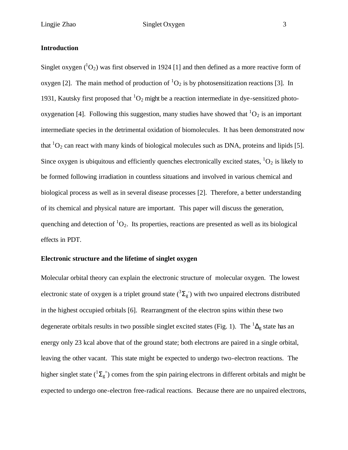#### **Introduction**

Singlet oxygen  $({}^{1}O_2)$  was first observed in 1924 [1] and then defined as a more reactive form of oxygen [2]. The main method of production of  ${}^{1}O_{2}$  is by photosensitization reactions [3]. In 1931, Kautsky first proposed that  ${}^{1}O_{2}$  might be a reaction intermediate in dye-sensitized photooxygenation [4]. Following this suggestion, many studies have showed that  ${}^{1}O_{2}$  is an important intermediate species in the detrimental oxidation of biomolecules. It has been demonstrated now that  ${}^{1}O_{2}$  can react with many kinds of biological molecules such as DNA, proteins and lipids [5]. Since oxygen is ubiquitous and efficiently quenches electronically excited states,  ${}^{1}O_{2}$  is likely to be formed following irradiation in countless situations and involved in various chemical and biological process as well as in several disease processes [2]. Therefore, a better understanding of its chemical and physical nature are important. This paper will discuss the generation, quenching and detection of  ${}^{1}O_{2}$ . Its properties, reactions are presented as well as its biological effects in PDT.

#### **Electronic structure and the lifetime of singlet oxygen**

Molecular orbital theory can explain the electronic structure of molecular oxygen. The lowest electronic state of oxygen is a triplet ground state  $({}^3\Sigma_g)$  with two unpaired electrons distributed in the highest occupied orbitals [6]. Rearrangment of the electron spins within these two degenerate orbitals results in two possible singlet excited states (Fig. 1). The  ${}^{1}\Delta_{g}$  state has an energy only 23 kcal above that of the ground state; both electrons are paired in a single orbital, leaving the other vacant. This state might be expected to undergo two-electron reactions. The higher singlet state  $({}^{1}\Sigma_{g}^{+})$  comes from the spin pairing electrons in different orbitals and might be expected to undergo one-electron free-radical reactions. Because there are no unpaired electrons,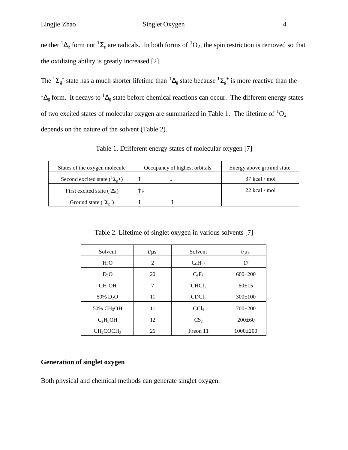### Lingjie Zhao Singlet Oxygen 4

neither  ${}^{1}\Delta_{g}$  form nor  ${}^{1}\Sigma_{g}$  are radicals. In both forms of  ${}^{1}O_{2}$ , the spin restriction is removed so that the oxidizing ability is greatly increased [2].

The  ${}^{1}\Sigma_{g}^{+}$  state has a much shorter lifetime than  ${}^{1}\Delta_{g}$  state because  ${}^{1}\Sigma_{g}^{+}$  is more reactive than the  $1\Delta_g$  form. It decays to  $1\Delta_g$  state before chemical reactions can occur. The different energy states of two excited states of molecular oxygen are summarized in Table 1. The lifetime of  ${}^{1}O_{2}$ depends on the nature of the solvent (Table 2).

Table 1. Dfifferent energy states of molecular oxygen [7]

| States of the oxygen molecule              | Occupancy of highest orbitals | Energy above ground state |
|--------------------------------------------|-------------------------------|---------------------------|
| Second excited state $({}^{1}\Sigma_{g}+)$ |                               | $37$ kcal / mol           |
| First excited state $({}^{1}\Delta_g)$     |                               | $22$ kcal / mol           |
| Ground state $({}^3\Sigma_g^-)$            |                               |                           |

Table 2. Lifetime of singlet oxygen in various solvents [7]

| Solvent                           | $t/\mu s$      | Solvent           | $t/\mu s$      |
|-----------------------------------|----------------|-------------------|----------------|
| $H_2O$                            | $\overline{c}$ | $C_6H_{12}$       | 17             |
| $D_2O$                            | 20             | $C_6F_6$          | $600 \pm 200$  |
| CH <sub>3</sub> OH                | 7              | CHCl <sub>3</sub> | $60+15$        |
| 50% D <sub>2</sub> O              | 11             | CDCl <sub>3</sub> | $300 \pm 100$  |
| 50% CH <sub>3</sub> OH            | 11             | CCl <sub>4</sub>  | $700+200$      |
| $C_2H_5OH$                        | 12             | CS <sub>2</sub>   | $200 \pm 60$   |
| CH <sub>3</sub> COCH <sub>3</sub> | 26             | Freon 11          | $1000 \pm 200$ |

#### **Generation of singlet oxygen**

Both physical and chemical methods can generate singlet oxygen.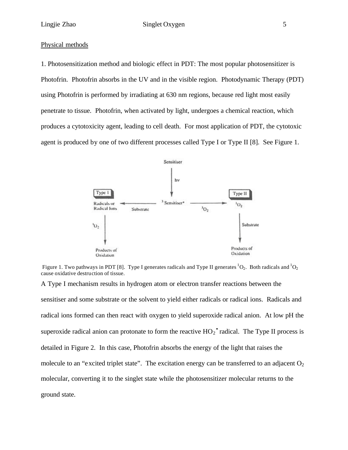1. Photosensitization method and biologic effect in PDT: The most popular photosensitizer is Photofrin. Photofrin absorbs in the UV and in the visible region. Photodynamic Therapy (PDT) using Photofrin is performed by irradiating at 630 nm regions, because red light most easily penetrate to tissue. Photofrin, when activated by light, undergoes a chemical reaction, which produces a cytotoxicity agent, leading to cell death. For most application of PDT, the cytotoxic agent is produced by one of two different processes called Type I or Type II [8]. See Figure 1.



Figure 1. Two pathways in PDT [8]. Type I generates radicals and Type II generates <sup>1</sup>O<sub>2</sub>. Both radicals and <sup>1</sup>O<sub>2</sub> cause oxidative destruction of tissue.

A Type I mechanism results in hydrogen atom or electron transfer reactions between the sensitiser and some substrate or the solvent to yield either radicals or radical ions. Radicals and radical ions formed can then react with oxygen to yield superoxide radical anion. At low pH the superoxide radical anion can protonate to form the reactive  $HO_2^{\bullet}$  radical. The Type II process is detailed in Figure 2. In this case, Photofrin absorbs the energy of the light that raises the molecule to an "excited triplet state". The excitation energy can be transferred to an adjacent  $O_2$ molecular, converting it to the singlet state while the photosensitizer molecular returns to the ground state.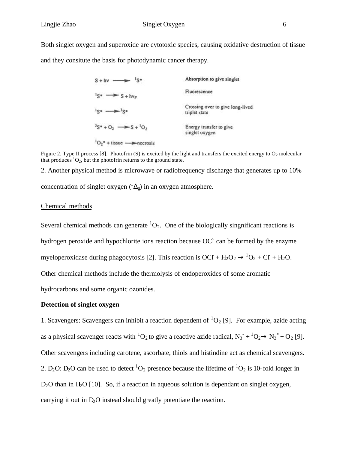Both singlet oxygen and superoxide are cytotoxic species, causing oxidative destruction of tissue and they consitute the basis for photodynamic cancer therapy.

| $\sqrt{5}$<br>$S + hv \longrightarrow$                               | Absorption to give singlet                        |
|----------------------------------------------------------------------|---------------------------------------------------|
| $s_{s} \rightarrow s + h v_{F}$                                      | Fluorescence                                      |
| $s \rightarrow$<br>$J$ C at                                          | Crossing over to give long-lived<br>triplet state |
| $S^*$ + O <sub>2</sub> $\rightarrow$ S + <sup>1</sup> O <sub>2</sub> | Energy transfer to give<br>singlet oxygen         |
| ${}^{1}O_{2}$ <sup>*</sup> + tissue $\longrightarrow$ necrosis       |                                                   |

Figure 2. Type II process [8]. Photofrin (S) is excited by the light and transfers the excited energy to  $O_2$  molecular that produces  ${}^{1}O_{2}$ , but the photofrin returns to the ground state.

2. Another physical method is microwave or radiofrequency discharge that generates up to 10% concentration of singlet oxygen  $({}^{1}\Delta_g)$  in an oxygen atmosphere.

#### Chemical methods

Several chemical methods can generate  ${}^{1}O_{2}$ . One of the biologically singnificant reactions is hydrogen peroxide and hypochlorite ions reaction because OCI can be formed by the enzyme myeloperoxidase during phagocytosis [2]. This reaction is  $OCI + H_2O_2 \rightarrow {}^1O_2 + CI + H_2O$ . Other chemical methods include the thermolysis of endoperoxides of some aromatic

hydrocarbons and some organic ozonides.

#### **Detection of singlet oxygen**

1. Scavengers: Scavengers can inhibit a reaction dependent of  ${}^{1}O_{2}$  [9]. For example, azide acting as a physical scavenger reacts with  ${}^{1}O_{2}$  to give a reactive azide radical,  $N_{3}^{-} + {}^{1}O_{2} \rightarrow N_{3}^{\bullet} + O_{2}$  [9]. Other scavengers including carotene, ascorbate, thiols and histindine act as chemical scavengers. 2. D<sub>2</sub>O: D<sub>2</sub>O can be used to detect <sup>1</sup>O<sub>2</sub> presence because the lifetime of <sup>1</sup>O<sub>2</sub> is 10-fold longer in  $D_2O$  than in H<sub>2</sub>O [10]. So, if a reaction in aqueous solution is dependant on singlet oxygen, carrying it out in D2O instead should greatly potentiate the reaction.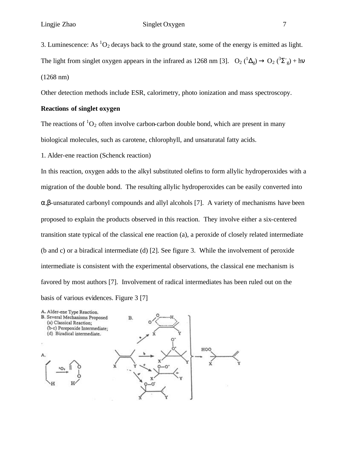## Lingjie Zhao Singlet Oxygen 7

3. Luminescence: As  ${}^{1}O_2$  decays back to the ground state, some of the energy is emitted as light.

The light from singlet oxygen appears in the infrared as 1268 nm [3].  $O_2(^1\Delta_g) \rightarrow O_2(^3\Sigma_g) + h\nu$ (1268 nm)

Other detection methods include ESR, calorimetry, photo ionization and mass spectroscopy.

#### **Reactions of singlet oxygen**

The reactions of  ${}^{1}O_2$  often involve carbon-carbon double bond, which are present in many biological molecules, such as carotene, chlorophyll, and unsaturatal fatty acids.

1. Alder-ene reaction (Schenck reaction)

In this reaction, oxygen adds to the alkyl substituted olefins to form allylic hydroperoxides with a migration of the double bond. The resulting allylic hydroperoxides can be easily converted into α,β-unsaturated carbonyl compounds and allyl alcohols [7]. A variety of mechanisms have been proposed to explain the products observed in this reaction. They involve either a six-centered transition state typical of the classical ene reaction (a), a peroxide of closely related intermediate (b and c) or a biradical intermediate (d) [2]. See figure 3. While the involvement of peroxide intermediate is consistent with the experimental observations, the classical ene mechanism is favored by most authors [7]. Involvement of radical intermediates has been ruled out on the basis of various evidences. Figure 3 [7]

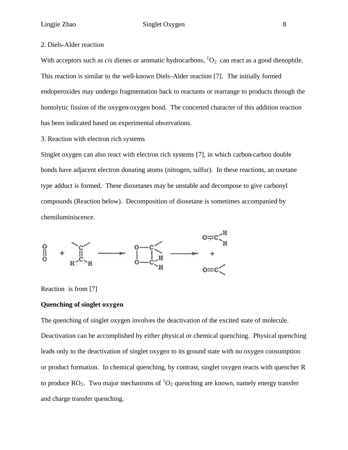#### 2. Diels-Alder reaction

With acceptors such as *cis* dienes or aromatic hydrocarbons,  ${}^{1}O_{2}$  can react as a good dienophile. This reaction is similar to the well-known Diels-Alder reaction [7]. The initially formed endoperoxides may undergo fragmentation back to reactants or rearrange to products through the homolytic fission of the oxygen-oxygen bond. The concerted character of this addition reaction has been indicated based on experimental observations.

3. Reaction with electron rich systems

Singlet oxygen can also react with electron rich systems [7], in which carbon-carbon double bonds have adjacent electron donating atoms (nitrogen, sulfur). In these reactions, an oxetane type adduct is formed. These dioxetanes may be unstable and decompose to give carbonyl compounds (Reaction below). Decomposition of dioxetane is sometimes accompanied by chemiluminiscence.



Reaction is from [7]

#### **Quenching of singlet oxygen**

The quenching of singlet oxygen involves the deactivation of the excited state of molecule. Deactivation can be accomplished by either physical or chemical quenching. Physical quenching leads only to the deactivation of singlet oxygen to its ground state with no oxygen consumption or product formation. In chemical quenching, by contrast, singlet oxygen reacts with quencher R to produce  $RO<sub>2</sub>$ . Two major mechanisms of  ${}^{1}O<sub>2</sub>$  quenching are known, namely energy transfer and charge transfer quenching.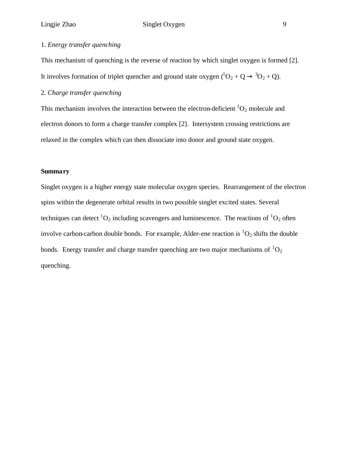# Lingjie Zhao Singlet Oxygen 9

## 1. *Energy transfer quenching*

This mechanism of quenching is the reverse of reaction by which singlet oxygen is formed [2]. It involves formation of triplet quencher and ground state oxygen  $({}^{1}O_{2} + Q \rightarrow {}^{3}O_{2} + Q)$ .

## 2*. Charge transfer quenching*

This mechanism involves the interaction between the electron-deficient  ${}^{1}O_{2}$  molecule and electron donors to form a charge transfer complex [2]. Intersystem crossing restrictions are relaxed in the complex which can then dissociate into donor and ground state oxygen.

#### **Summary**

Singlet oxygen is a higher energy state molecular oxygen species. Rearrangement of the electron spins within the degenerate orbital results in two possible singlet excited states. Several techniques can detect  ${}^{1}O_{2}$  including scavengers and luminescence. The reactions of  ${}^{1}O_{2}$  often involve carbon-carbon double bonds. For example, Alder-ene reaction is  ${}^{1}O_{2}$  shifts the double bonds. Energy transfer and charge transfer quenching are two major mechanisms of  ${}^{1}O_{2}$ quenching.